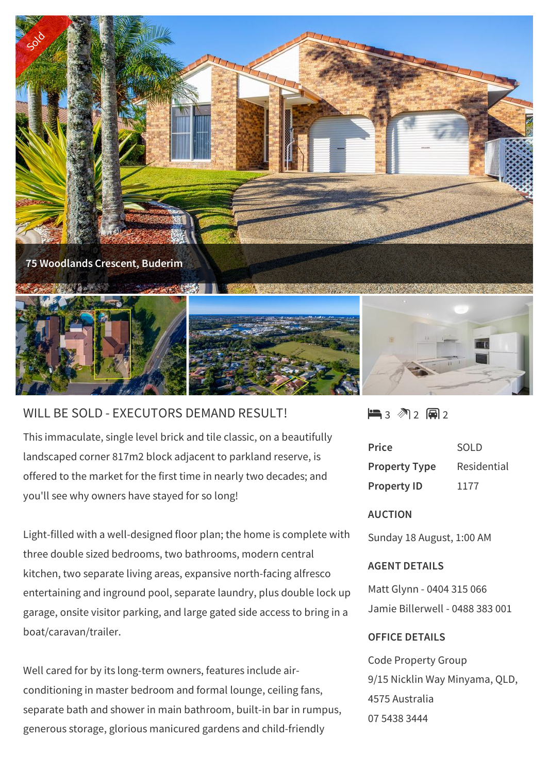

## WILL BE SOLD - EXECUTORS DEMAND RESULT!

This immaculate, single level brick and tile classic, on a beautifully landscaped corner 817m2 block adjacent to parkland reserve, is offered to the market for the first time in nearly two decades; and you'll see why owners have stayed for so long!

Light-filled with a well-designed floor plan; the home is complete with three double sized bedrooms, two bathrooms, modern central kitchen, two separate living areas, expansive north-facing alfresco entertaining and inground pool, separate laundry, plus double lock up garage, onsite visitor parking, and large gated side access to bring in a boat/caravan/trailer.

Well cared for by its long-term owners, features include airconditioning in master bedroom and formal lounge, ceiling fans, separate bath and shower in main bathroom, built-in bar in rumpus, generous storage, glorious manicured gardens and child-friendly

 $\blacksquare$ 3 2 2 2 2

| Price                | SOL D       |
|----------------------|-------------|
| <b>Property Type</b> | Residential |
| <b>Property ID</b>   | 1177        |

## **AUCTION**

Sunday 18 August, 1:00 AM

## **AGENT DETAILS**

Matt Glynn - 0404 315 066 Jamie Billerwell - 0488 383 001

## **OFFICE DETAILS**

Code Property Group 9/15 Nicklin Way Minyama, QLD, 4575 Australia 07 5438 3444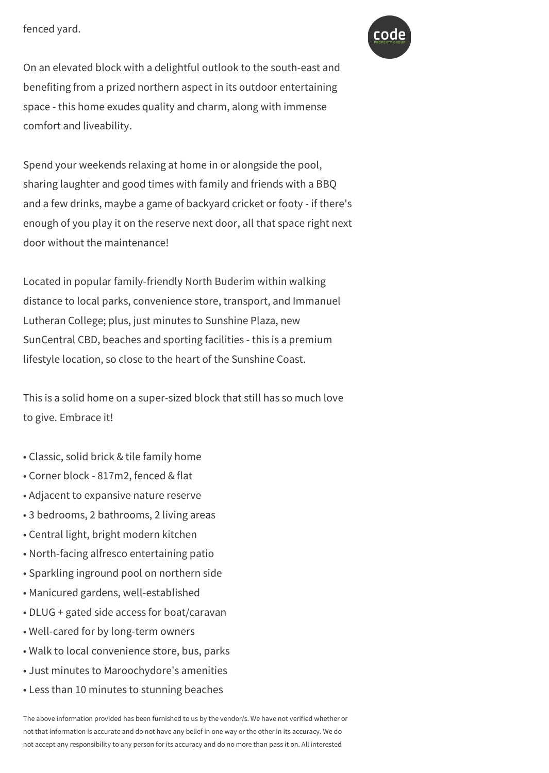fenced yard.



On an elevated block with a delightful outlook to the south-east and benefiting from a prized northern aspect in its outdoor entertaining space - this home exudes quality and charm, along with immense comfort and liveability.

generous storage, glorious manicured gardens and child-friendly

Spend your weekends relaxing at home in or alongside the pool, sharing laughter and good times with family and friends with a BBQ and a few drinks, maybe a game of backyard cricket or footy - if there's enough of you play it on the reserve next door, all that space right next door without the maintenance!

Located in popular family-friendly North Buderim within walking distance to local parks, convenience store, transport, and Immanuel Lutheran College; plus, just minutes to Sunshine Plaza, new SunCentral CBD, beaches and sporting facilities - this is a premium lifestyle location, so close to the heart of the Sunshine Coast.

This is a solid home on a super-sized block that still has so much love to give. Embrace it!

- Classic, solid brick & tile family home
- Corner block 817m2, fenced & flat
- Adjacent to expansive nature reserve
- 3 bedrooms, 2 bathrooms, 2 living areas
- Central light, bright modern kitchen
- North-facing alfresco entertaining patio
- Sparkling inground pool on northern side
- Manicured gardens, well-established
- DLUG + gated side access for boat/caravan
- Well-cared for by long-term owners
- Walk to local convenience store, bus, parks
- Just minutes to Maroochydore's amenities
- Less than 10 minutes to stunning beaches

The above information provided has been furnished to us by the vendor/s. We have not verified whether or not that information is accurate and do not have any belief in one way or the other in its accuracy. We do not accept any responsibility to any person for its accuracy and do no more than pass it on. All interested